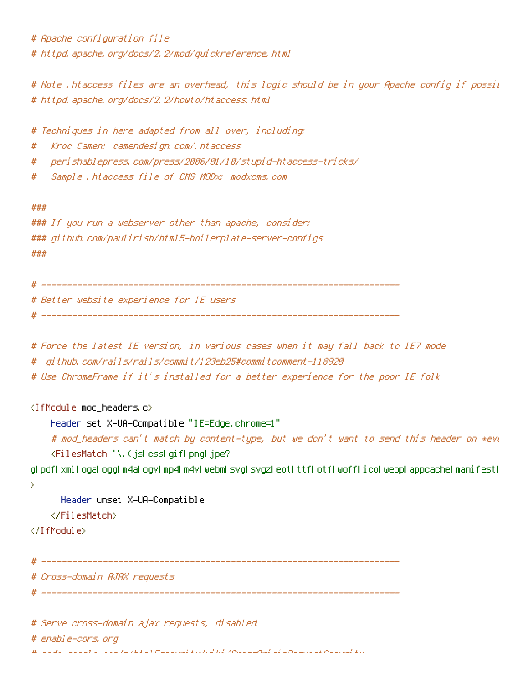# Apache configuration file # httpd.apache.org/docs/2.2/mod/guickreference.html

# Note .htaccess files are an overhead, this logic should be in your Apache config if possil # httpd, apache, org/docs/2, 2/howto/htaccess, html

# Techniques in here adapted from all over, including:

Kroc Camen: camendesign.com/.htaccess #

- peri shablepress, com/press/2006/01/10/stupi d-htaccess-tri cks/ #
- Sample .htaccess file of CMS MODx: modxcms.com #

###

```
### If you run a webserver other than apache, consider:
### qithub.com/paulirish/html5-boilerplate-server-configs
###
```
# Better website experience for IE users |

- # Force the latest IE version, in various cases when it may fall back to IE7 mode
- # github.com/rails/rails/commit/123eb25#commitcomment-118920
- # Use ChromeFrame if it's installed for a better experience for the poor IE folk

<IfModule mod\_headers.c>

Header set X-UA-Compatible "IE=Edge, chrome=1"

# mod\_headers can't match by content-type, but we don't want to send this header on \*evo <FilesMatch "\.(jslcsslgiflpngljpe?

glipdflixmli ogal ogglim4al ogvlimp4lm4vliwebmlisvglisvgzlieotlittfliotfliwofflicoliwebpliappcachelmanifestli  $\mathbf{S}$ 

Header unset X-UA-Compatible

</FilesMatch>

</TifModule>

# Cross-domain AJAX requests

# Serve cross-domain ajax requests, disabled.

# enable-cors, ord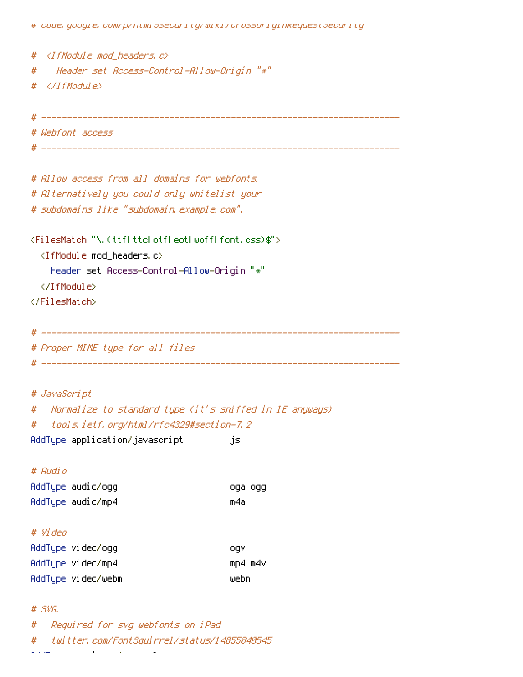# code, google, com/p/ntml5security/wiki/urossuriginkequest5ecurity

 $#$ <IfModule mod\_headers.c>  $#$ " Header set Access-Control-Allow-Origin "\*" #  $\langle$ /IfModule $\rangle$ # Webfont access # Allow access from all domains for webfonts, # Alternatively you could only whitelist your # subdomains like "subdomain, example, com", <FilesMatch "\.(ttflttclotfleotlwofflfont.css)\$"> <IfModule mod headers.c> Header set Access-Control-Allow-Origin "\*" </IfModule> </FilesMatch> # Proper MIME type for all files # JavaScript Mormalize to standard type (it's sniffed in IE anyways)  $#$ tools.ietf.org/html/rfc4329#section-7.2 # AddType application/javascript js. # Audio AddType audio/ogg oga ogg AddType audio/mp4 m4a # Video AddType video/ogg ogy AddType video/mp4 mp4 m4v AddTupe video/webm webm

## $#$  SVG.

Required for syg webfonts on iPad  $#$ twitter, com/FontSauirrel/status/14855840545 # المساوي والمسا **Contract Contract Contract**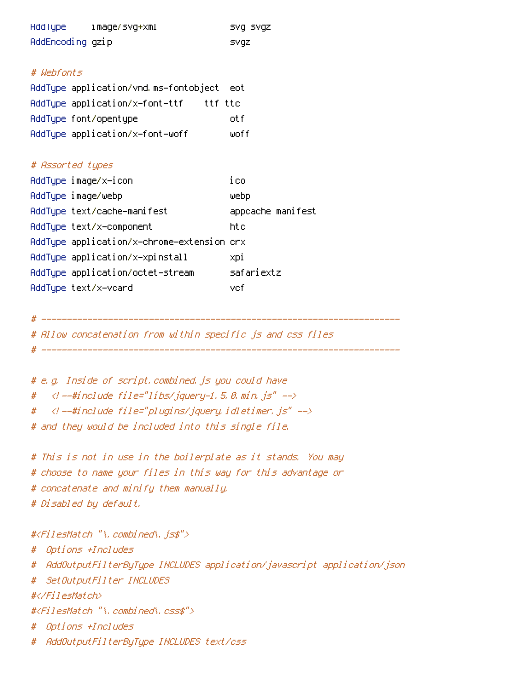|                       | HddType image/svg+xml                     | SVQ SVQZ          |  |  |  |
|-----------------------|-------------------------------------------|-------------------|--|--|--|
| AddEncoding gzip      |                                           | svqz              |  |  |  |
|                       |                                           |                   |  |  |  |
| # Wehfonts            |                                           |                   |  |  |  |
|                       | AddType application/vnd.ms—fontobject eot |                   |  |  |  |
|                       |                                           |                   |  |  |  |
| AddType font/opentype |                                           | otf               |  |  |  |
|                       | AddTupe application/x-font-woff           | woff              |  |  |  |
|                       |                                           |                   |  |  |  |
| # Assorted types      |                                           |                   |  |  |  |
| AddType image/x-icon  |                                           | ico               |  |  |  |
| AddType image/webp    |                                           | ⊎ebp              |  |  |  |
|                       | AddType text/cache-manifest               | appcache manifest |  |  |  |
|                       | AddTupe text/x-component                  | htc               |  |  |  |

AddType application/x-chrome-extension crx

AddType application/x-xpinstall

| AddType application/octet-stream | safariextz |
|----------------------------------|------------|
| AddTupe text/x-vcard             | vefi       |
|                                  |            |
|                                  |            |

# Allow concatenation from within specific js and css files

i xpi

# e.g. Inside of script.combined.js you could have  $\langle t$  --#include file="libs/jquery-1.5.0.min.js" --> #  $\langle$ l --#include file="plugins/jquery, idletimer, js" --> # # and they would be included into this single file.

# This is not in use in the boilerplate as it stands. You may # choose to name your files in this way for this advantage or # concatenate and minify them manually. # Disabled by default.

#<FilesMatch "\.combined\.js\$">

# Options +Includes

# AddOutputFilterByType INCLUDES application/javascript application/json

# SetOutputFilter INCLUDES

#</FilesMatch>

#<FilesMatch "\.combined\.css\$">

Options +Includes #

# AddOutputFilterByType INCLUDES text/css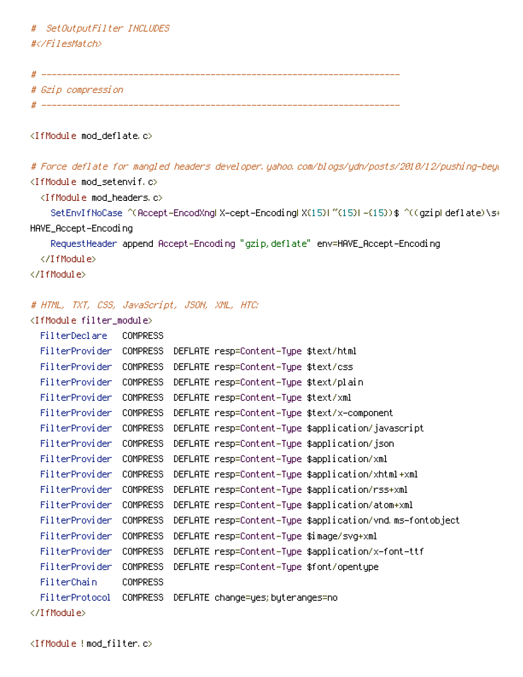# SetOutputFilter INCLUDES #</FilesMatch>

# Gzip compression 

<IfModule mod\_deflate.c>

# Force deflate for mangled headers developer, yahoo, com/blogs/ydn/posts/2010/12/pushing-beyu <IfModule mod\_setenvif.c>

<IfModule mod\_headers.c>

SetEnvIfNoCase ^(Accept-EncodXngLX-cept-EncodingLX(15)L^(15)L-(15))\$ ^((gzipLdeflate)\s+ HAVE\_Accept-Encoding

RequestHeader append Accept-Encoding "gzip, deflate" env=HAVE\_Accept-Encoding

</IfModule>

</IfModule>

## # HTML, TXT, CSS, JavaScript, JSON, XML, HTC:

<IfModule filter\_module>

| FilterDeclare  | <b>COMPRESS</b> |                                                           |
|----------------|-----------------|-----------------------------------------------------------|
| FilterProvider | COMPRESS        | DEFLATE resp=Content-Type \$text/html                     |
| FilterProvider | <b>COMPRESS</b> | DEFLATE resp=Content-Type \$text/css                      |
| FilterProvider | <b>COMPRESS</b> | DEFLATE resp=Content–Type \$text/plain                    |
| FilterProvider | COMPRESS        | DEFLATE resp=Content-Type \$text/xml                      |
| FilterProvider | COMPRESS        | DEFLATE resp=Content-Type \$text/x-component              |
| FilterProvider | COMPRESS        | DEFLATE resp=Content–Type \$application/javascript        |
| FilterProvider | <b>COMPRESS</b> | DEFLATE resp=Content—Type \$application/json              |
| FilterProvider | COMPRESS        | DEFLATE resp=Content-Type \$application/xml               |
| FilterProvider | <b>COMPRESS</b> | DEFLATE resp=Content-Type \$application/xhtml+xml         |
| FilterProvider | COMPRESS        | DEFLATE resp=Content-Type \$application/rss+xml           |
| FilterProvider | COMPRESS        | DEFLATE resp=Content-Type \$application/atom+xml          |
| FilterProvider | <b>COMPRESS</b> | DEFLATE resp=Content—Type \$application/vnd ms—fontobject |
| FilterProvider | <b>COMPRESS</b> | DEFLATE resp=Content-Type \$image/svg+xml                 |
| FilterProvider | <b>COMPRESS</b> | DEFLATE resp=Content-Type \$application/x-font-ttf        |
| FilterProvider | COMPRESS        | DEFLATE resp=Content-Type \$font/opentype                 |
| FilterChain    | <b>COMPRESS</b> |                                                           |
| FilterProtocol | <b>COMPRESS</b> | DEFLATE change=yes; byteranges=no                         |
|                |                 |                                                           |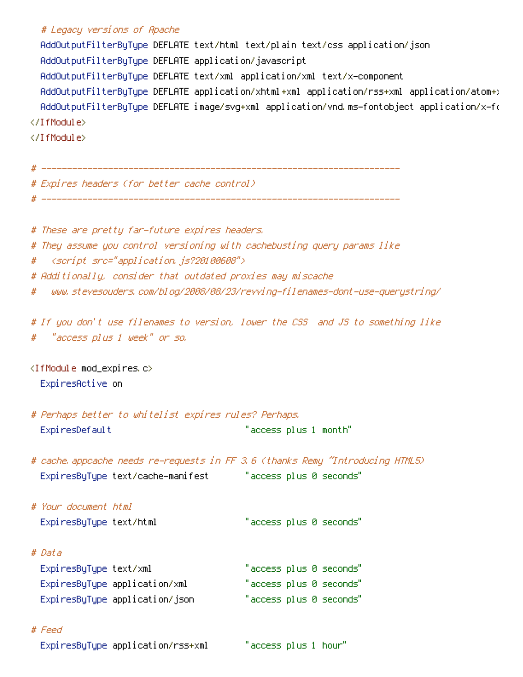## # Legacy versions of Apache

AddOutputFilterByType DEFLATE text/html text/plain text/css application/json AddOutputFilterByType DEFLATE application/javascript AddOutputFilterByType DEFLATE text/xml application/xml text/x-component AddOutputFilterByType DEFLATE application/xhtml+xml application/rss+xml application/atom+> AddOutputFilterByType DEFLATE image/svg+xml application/vnd.ms-fontobject application/x-fo </IfModule>

</IfModule>

| # Expires headers (for better cache control)                             |  |  |  |
|--------------------------------------------------------------------------|--|--|--|
|                                                                          |  |  |  |
|                                                                          |  |  |  |
| # These are pretty far-future expires headers.                           |  |  |  |
| # They assume you control versioning with cachebusting query params like |  |  |  |
| # <script src="application.js?20100608"></script>                        |  |  |  |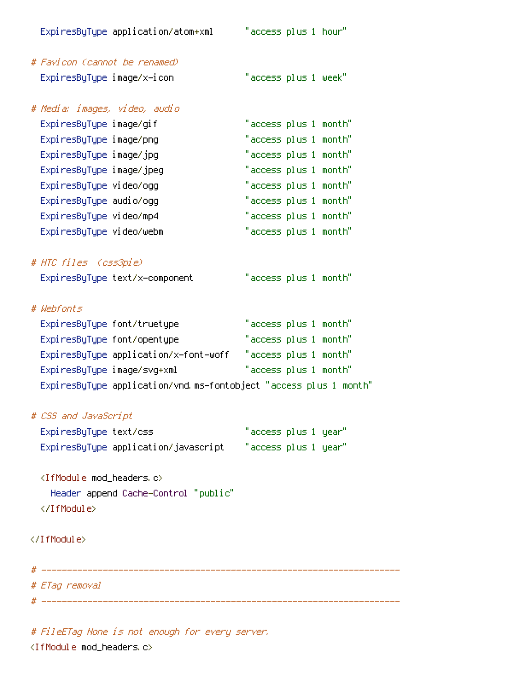| ExpiresByType application/atom+xml                                | "access plus 1 hour"  |
|-------------------------------------------------------------------|-----------------------|
| # Favicon (cannot be renamed)                                     |                       |
| ExpiresByType image/x-icon                                        | "access plus 1 week"  |
| # Media: images, video, audio                                     |                       |
| ExpiresByType image/gif                                           | "access plus 1 month" |
| ExpiresByType image/png                                           | "access plus 1 month" |
| ExpiresByType image/jpg                                           | "access plus 1 month" |
| ExpiresByType image/jpeg                                          | "access plus 1 month" |
| ExpiresByType video/ogg                                           | "access plus 1 month" |
| Expi resByType audio/ogg                                          | "access plus 1 month" |
| ExpiresByType video/mp4                                           | "access plus 1 month" |
| ExpiresByType video/webm                                          | "access plus 1 month" |
| # HTC files (css3pie)                                             |                       |
| ExpiresByType text/x-component                                    | "access plus 1 month" |
| # Webfonts                                                        |                       |
| ExpiresByType font/truetype                                       | "access plus 1 month" |
| ExpiresByType font/opentype                                       | "access plus 1 month" |
| ExpiresByType application/x-font-woff                             | "access plus 1 month" |
| ExpiresByType image/svg+xml                                       | "access plus 1 month" |
| ExpiresByType application/vnd.ms-fontobject "access plus 1 month" |                       |
| # CSS and JavaScript                                              |                       |
| ExpiresByType text/css                                            | "access plus 1 year"  |
|                                                                   |                       |
| <ifmodule mod_headers.c=""></ifmodule>                            |                       |
| Header append Cache-Control "public"                              |                       |
|                                                                   |                       |
|                                                                   |                       |
|                                                                   |                       |
| # ETag removal                                                    |                       |
|                                                                   |                       |

# FileETag None is not enough for every server.

 $\langle$ IfModule mod\_headers.c>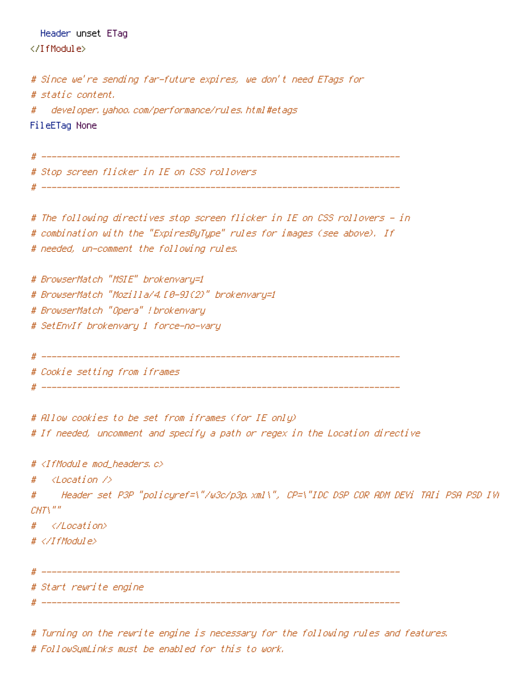Header unset ETag

</TfModule>

```
# Since we're sending far-future expires, we don't need ETags for
# static content.
    developer, yahoo, com/performance/rules, html #etags
#
FileETag None
```
# \_\_\_\_\_\_\_\_\_\_\_\_\_\_\_\_\_\_ Stop screen flicker in IE on CSS rollovers # The following directives stop screen flicker in IE on CSS rollovers – in # combination with the "ExpiresByType" rules for images (see above). If # needed, un-comment the following rules. # BrowserMatch "MSIE" brokenvary=1 # BrowserMatch "Mozilla/4.[0-9]{2}" brokenvary=1 # BrowserMatch "Opera" ! brokenvary # SetEnvIf brokenvary 1 force-no-vary # Cookie setting from iframes # Allow cookies to be set from iframes (for IE only) # If needed, uncomment and specify a path or regex in the Location directive # <IfModule mod headers.c>  $\langle Location \rangle$ # Header set P3P "policyref=\"/w3c/p3p.xml\", CP=\"IDC DSP COR ADM DEVi TAIi PSA PSD IVA #  $CNTX''''$  $#$ </Location>  $# \langle \angle I$ f Modul e $\rangle$ # \_\_\_\_\_\_\_\_\_\_\_\_\_\_ # Start rewrite engine 

# Turning on the rewrite engine is necessary for the following rules and features. # FollowSumLinks must be enabled for this to work.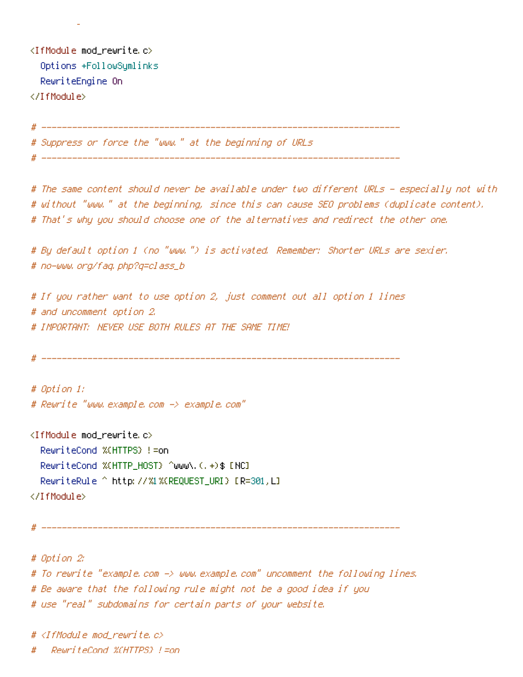<IfModule mod\_rewrite.c> Options +FollowSymlinks RewriteEngine On </IfModule>

# Suppress or force the "www." at the beginning of URLs ( # -----------------------

# The same content should never be available under two different URLs - especially not with # without "www." at the beginning, since this can cause SEO problems (duplicate content). # That's why you should choose one of the alternatives and redirect the other one.

# By default option 1 (no "www.") is activated. Remember: Shorter URLs are sexier. # no-www.org/faq.php?q=class\_b

# If you rather want to use option 2, just comment out all option 1 lines # and uncomment option 2. # IMPORTANT: NEVER USE BOTH RULES AT THE SAME TIME!

# Option 1: # Reurite "www.example.com -> example.com"

<IfModule mod rewrite.c> RewriteCond %(HTTPS) != on RewriteCond %(HTTP\_HOST) ^www\.(,+)\$ [NC] RewriteRule ^ http://%1%(REQUEST\_URI) [R=301,L] </IfModule>

# Option 2: # To rewrite "example.com -> www.example.com" uncomment the following lines. # Be aware that the following rule might not be a good idea if you # use "real" subdomains for certain parts of your website.

# <IfModule mod\_rewrite.c> RewriteCond %(HTTPS) !=on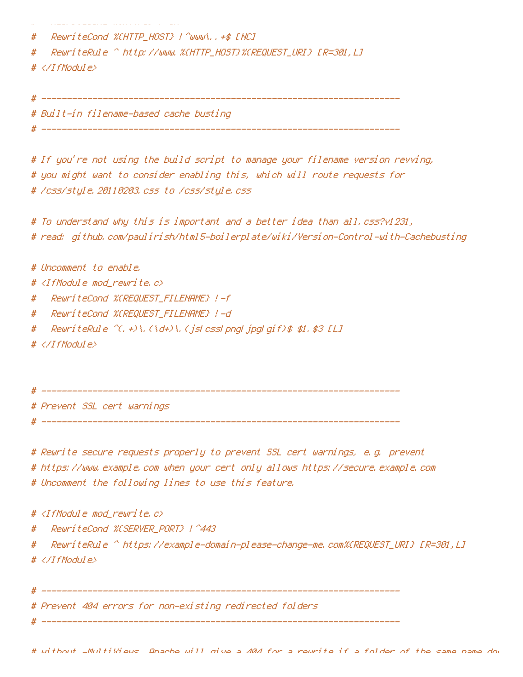```
a comparativa de la comparativa de la construcción de la comparación de la comparación de la comparativa de la
w
  RewriteCond %{HTTP_HOST} !^www\..+$ [NC]
#
  #
# \langle \angle IfModule>
# Built-in filename-based cache busting
```
# If you're not using the build script to manage your filename version revving, # you might want to consider enabling this, which will route requests for # /css/style.20110203.css to /css/style.css

```
# To understand why this is important and a better idea than all.css?v1231,
# read: github.com/paulirish/html5-boilerplate/wiki/Version-Control-with-Cachebusting
```
# Uncomment to enable.

- # <IfModule mod\_rewrite.c>
- RewriteCond %(REQUEST\_FILENAME) !-f #
- # – RewriteCond %(REQUEST\_FILENAME) !–d
- ReuriteRule  $\hat{C}$ , +) \, (\d+) \, (jslcsslpngljpglgif) \$ \$1, \$3 [L] #
- # </IfModule>

# ------------

# Prevent SSL cert warnings

# Rewrite secure requests properly to prevent SSL cert warnings, e.g. prevent # https://www.example.com when your cert only allows https://secure.example.com # Uncomment the following lines to use this feature.

# <IfModule mod rewrite.c>

- #
- # RewriteRule ^ https://example-domain-please-change-me.com%(REQUEST\_URI} [R=301,LI # </IfModule>

Prevent 404 errors for non-existing redirected folders

# without -MultiWiews, Anache will give a 404 for a rewrite if a folder of the same name dow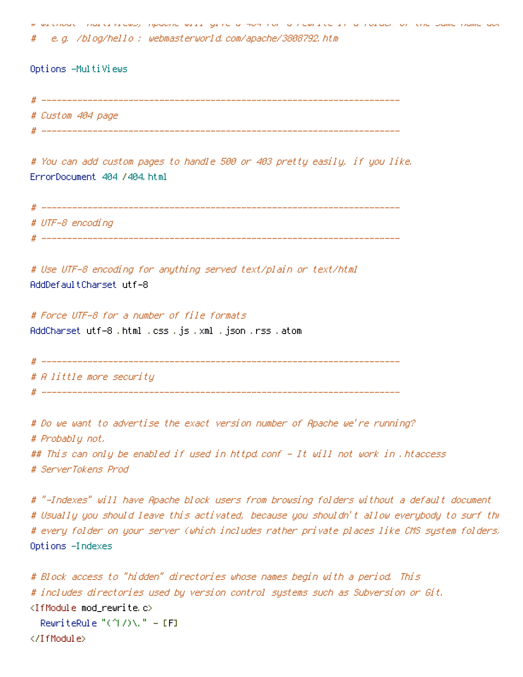without modifiers apache will give a HoH for a rewite in a following the band of the same name do e.g. /blog/hello : webmasterworld.com/apache/3808792.htm

Options -MultiViews

# Custom 404 page

# You can add custom pages to handle 500 or 403 pretty easily, if you like. ErrorDocument 404 /404.html

# UTF-8 encodina 

# Use UTF-8 encoding for anything served text/plain or text/html AddDefaultCharset utf-8

# Force UTF-8 for a number of file formats AddCharset utf-8 .html .css .js .xml .json .rss .atom

```
# A little more security
```
# Do we want to advertise the exact version number of Apache we're running? # Probably not. ## This can only be enabled if used in httpd.conf - It will not work in .htaccess # ServerTokens Prod

# "-Indexes" will have Apache block users from browsing folders without a default document # Usually you should leave this activated, because you shouldn't allow everybody to surf the # every folder on your server (which includes rather private places like CMS system folders) Options -Indexes

```
# Block access to "hidden" directories whose names begin with a period. This
# includes directories used by version control systems such as Subversion or Git.
\langleIfModule mod rewrite.c\rangleReariteRule "(2) \wedge " = [F]
</IfModule>
```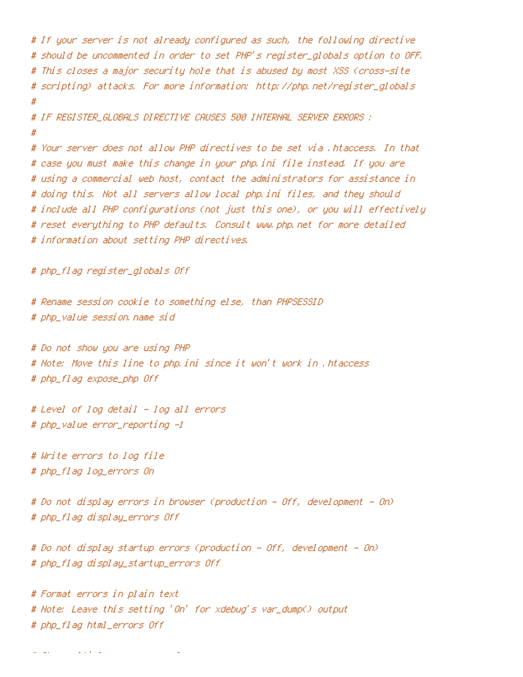```
# If your server is not already configured as such, the following directive
# should be uncommented in order to set PHP's register_globals option to OFF.
# This closes a major security hole that is abused by most XSS (cross-site
# scripting) attacks. For more information: http://php.net/register_globals
# IF REGISTER GLOBALS DIRECTIVE CAUSES 500 INTERNAL SERVER ERRORS ;
# Your server does not allow PHP directives to be set via .htaccess, In that
# case you must make this change in your php.ini file instead. If you are
# using a commercial web host, contact the administrators for assistance in
# doing this. Not all servers allow local php.ini files, and they should
# include all PHP configurations (not just this one), or you will effectively
# reset everything to PHP defaults. Consult www.php.net for more detailed
# information about setting PHP directives.
# php_flag register_globals Off
# Rename session cookie to something else, than PHPSESSID
# php_value session.name sid
# Do not show you are using PHP
# Note: Move this line to php.ini since it won't work in .htaccess
# php_flag expose_php Off
# Level of log detail - log all errors
# php_value error_reporting -1
# Write errors to log file
# php_flag log_errors On
# Do not display errors in browser (production – Off, development – On)
# php_flag display_errors Off
# Do not display startup errors (production - Off, development - On)
# php_flag display_startup_errors Off
# Format errors in plain text
# Note: Leave this setting 'On' for xdebug's var_dump() output
```
# php\_flag html\_errors Off